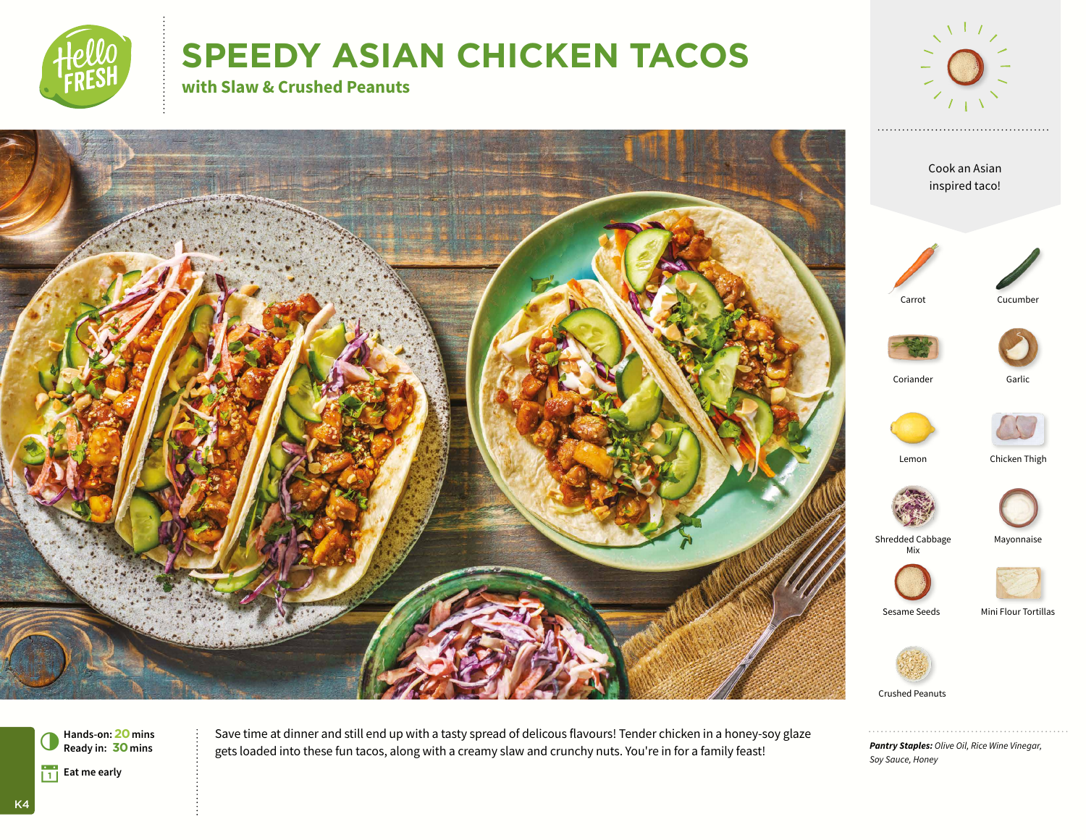

# **SPEEDY ASIAN CHICKEN TACOS**

**with Slaw & Crushed Peanuts**





*Pantry Staples: Olive Oil, Rice Wine Vinegar, Soy Sauce, Honey*



Save time at dinner and still end up with a tasty spread of delicous flavours! Tender chicken in a honey-soy glaze gets loaded into these fun tacos, along with a creamy slaw and crunchy nuts. You're in for a family feast!

K4